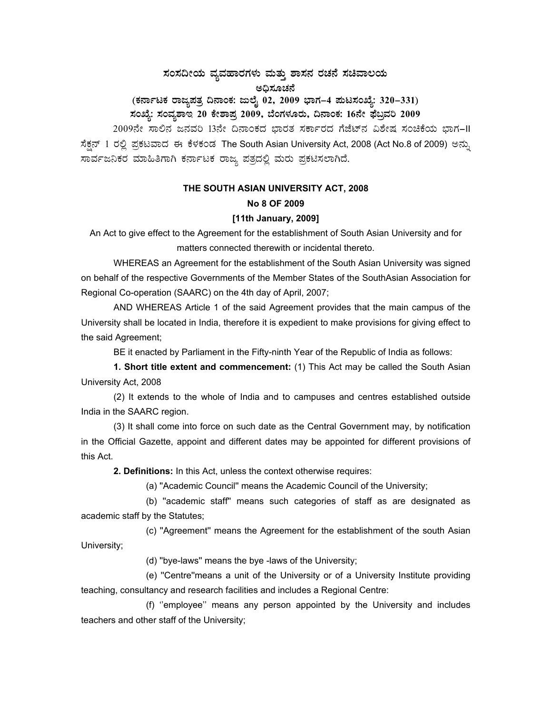## $\,$ ಸಂಸದೀಯ ವ್ಯವಹಾರಗಳು ಮತ್ತು ಶಾಸನ ರಚನೆ ಸಚಿವಾಲಯ ಅಧಿಸೂಚನೆ

# (ಕರ್ನಾಟಕ ರಾಜ್ಯಪತ್ರ ದಿನಾಂಕ: ಜುಲೈ 02, 2009 ಭಾಗ–4 **ಪುಟಸಂಖ್ಯೆ: 320–331**) ಸಂಖ್ಯೆ: ಸಂವ್ಯಶಾಇ 20 ಕೇಶಾಪ್ರ 2009, ಬೆಂಗಳೂರು, ದಿನಾಂಕ: 16ನೇ ಫೆಬ್ರವರಿ 2009

2009ನೇ ಸಾಲಿನ ಜನವರಿ 13ನೇ ದಿನಾಂಕದ ಭಾರತ ಸರ್ಕಾರದ ಗೆಜೆಟ್ ವಿಶೇಷ ಸಂಚಿಕೆಯ ಭಾಗ-II ಸೆಕ್ಷನ್ 1 ರಲ್ಲಿ ಪ್ರಕಟವಾದ ಈ ಕೆಳಕಂಡ The South Asian University Act, 2008 (Act No.8 of 2009) ಅನ್ನು ಸಾರ್ವಜನಿಕರ ಮಾಹಿತಿಗಾಗಿ ಕರ್ನಾಟಕ ರಾಜ್ಯ ಪತ್ರದಲ್ಲಿ ಮರು ಪ್ರಕಟಿಸಲಾಗಿದೆ.

## **THE SOUTH ASIAN UNIVERSITY ACT, 2008 No 8 OF 2009**

## **[11th January, 2009]**

An Act to give effect to the Agreement for the establishment of South Asian University and for matters connected therewith or incidental thereto.

WHEREAS an Agreement for the establishment of the South Asian University was signed on behalf of the respective Governments of the Member States of the SouthAsian Association for Regional Co-operation (SAARC) on the 4th day of April, 2007;

 AND WHEREAS Article 1 of the said Agreement provides that the main campus of the University shall be located in India, therefore it is expedient to make provisions for giving effect to the said Agreement;

BE it enacted by Parliament in the Fifty-ninth Year of the Republic of India as follows:

**1. Short title extent and commencement:** (1) This Act may be called the South Asian University Act, 2008

 (2) It extends to the whole of India and to campuses and centres established outside India in the SAARC region.

 (3) It shall come into force on such date as the Central Government may, by notification in the Official Gazette, appoint and different dates may be appointed for different provisions of this Act.

**2. Definitions:** In this Act, unless the context otherwise requires:

(a) ''Academic Council'' means the Academic Council of the University;

 (b) ''academic staff'' means such categories of staff as are designated as academic staff by the Statutes;

 (c) ''Agreement'' means the Agreement for the establishment of the south Asian University;

(d) ''bye-laws'' means the bye -laws of the University;

 (e) ''Centre''means a unit of the University or of a University Institute providing teaching, consultancy and research facilities and includes a Regional Centre:

 (f) ''employee'' means any person appointed by the University and includes teachers and other staff of the University;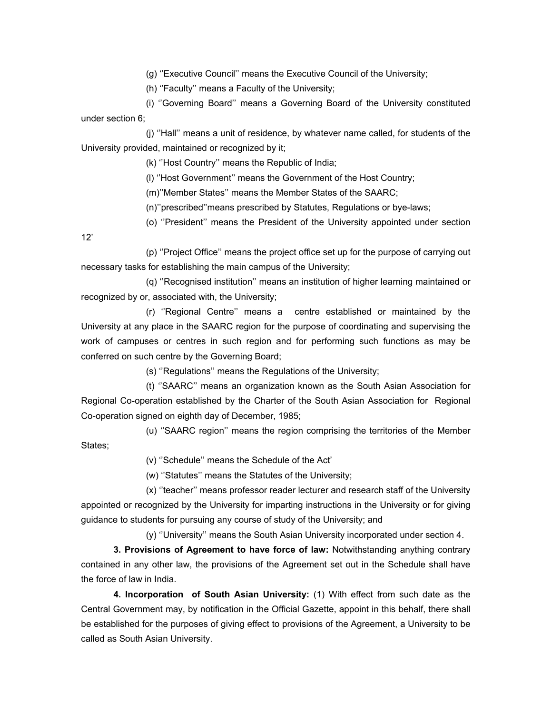(g) ''Executive Council'' means the Executive Council of the University;

(h) ''Faculty'' means a Faculty of the University;

 (i) ''Governing Board'' means a Governing Board of the University constituted under section 6;

 (j) ''Hall'' means a unit of residence, by whatever name called, for students of the University provided, maintained or recognized by it;

(k) ''Host Country'' means the Republic of India;

(l) ''Host Government'' means the Government of the Host Country;

(m)''Member States'' means the Member States of the SAARC;

(n)''prescribed''means prescribed by Statutes, Regulations or bye-laws;

(o) ''President'' means the President of the University appointed under section

12'

 (p) ''Project Office'' means the project office set up for the purpose of carrying out necessary tasks for establishing the main campus of the University;

 (q) ''Recognised institution'' means an institution of higher learning maintained or recognized by or, associated with, the University;

 (r) ''Regional Centre'' means a centre established or maintained by the University at any place in the SAARC region for the purpose of coordinating and supervising the work of campuses or centres in such region and for performing such functions as may be conferred on such centre by the Governing Board;

(s) ''Regulations'' means the Regulations of the University;

 (t) ''SAARC'' means an organization known as the South Asian Association for Regional Co-operation established by the Charter of the South Asian Association for Regional Co-operation signed on eighth day of December, 1985;

 (u) ''SAARC region'' means the region comprising the territories of the Member States;

(v) ''Schedule'' means the Schedule of the Act'

(w) ''Statutes'' means the Statutes of the University;

 (x) ''teacher'' means professor reader lecturer and research staff of the University appointed or recognized by the University for imparting instructions in the University or for giving guidance to students for pursuing any course of study of the University; and

(y) ''University'' means the South Asian University incorporated under section 4.

 **3. Provisions of Agreement to have force of law:** Notwithstanding anything contrary contained in any other law, the provisions of the Agreement set out in the Schedule shall have the force of law in India.

**4. Incorporation of South Asian University:** (1) With effect from such date as the Central Government may, by notification in the Official Gazette, appoint in this behalf, there shall be established for the purposes of giving effect to provisions of the Agreement, a University to be called as South Asian University.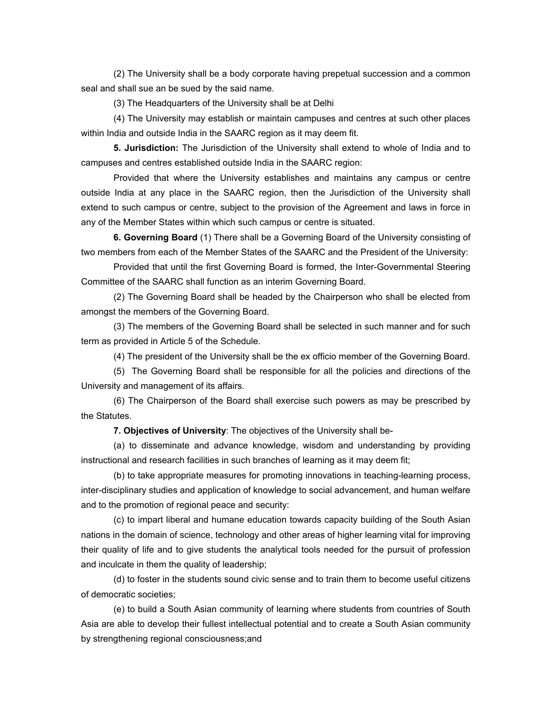(2) The University shall be a body corporate having prepetual succession and a common seal and shall sue an be sued by the said name.

(3) The Headquarters of the University shall be at Delhi

 (4) The University may establish or maintain campuses and centres at such other places within India and outside India in the SAARC region as it may deem fit.

**5. Jurisdiction:** The Jurisdiction of the University shall extend to whole of India and to campuses and centres established outside India in the SAARC region:

 Provided that where the University establishes and maintains any campus or centre outside India at any place in the SAARC region, then the Jurisdiction of the University shall extend to such campus or centre, subject to the provision of the Agreement and laws in force in any of the Member States within which such campus or centre is situated.

**6. Governing Board** (1) There shall be a Governing Board of the University consisting of two members from each of the Member States of the SAARC and the President of the University:

 Provided that until the first Governing Board is formed, the Inter-Governmental Steering Committee of the SAARC shall function as an interim Governing Board.

 (2) The Governing Board shall be headed by the Chairperson who shall be elected from amongst the members of the Governing Board.

 (3) The members of the Governing Board shall be selected in such manner and for such term as provided in Article 5 of the Schedule.

(4) The president of the University shall be the ex officio member of the Governing Board.

 (5) The Governing Board shall be responsible for all the policies and directions of the University and management of its affairs.

 (6) The Chairperson of the Board shall exercise such powers as may be prescribed by the Statutes.

**7. Objectives of University**: The objectives of the University shall be-

 (a) to disseminate and advance knowledge, wisdom and understanding by providing instructional and research facilities in such branches of learning as it may deem fit;

 (b) to take appropriate measures for promoting innovations in teaching-learning process, inter-disciplinary studies and application of knowledge to social advancement, and human welfare and to the promotion of regional peace and security:

 (c) to impart liberal and humane education towards capacity building of the South Asian nations in the domain of science, technology and other areas of higher learning vital for improving their quality of life and to give students the analytical tools needed for the pursuit of profession and inculcate in them the quality of leadership;

 (d) to foster in the students sound civic sense and to train them to become useful citizens of democratic societies;

 (e) to build a South Asian community of learning where students from countries of South Asia are able to develop their fullest intellectual potential and to create a South Asian community by strengthening regional consciousness;and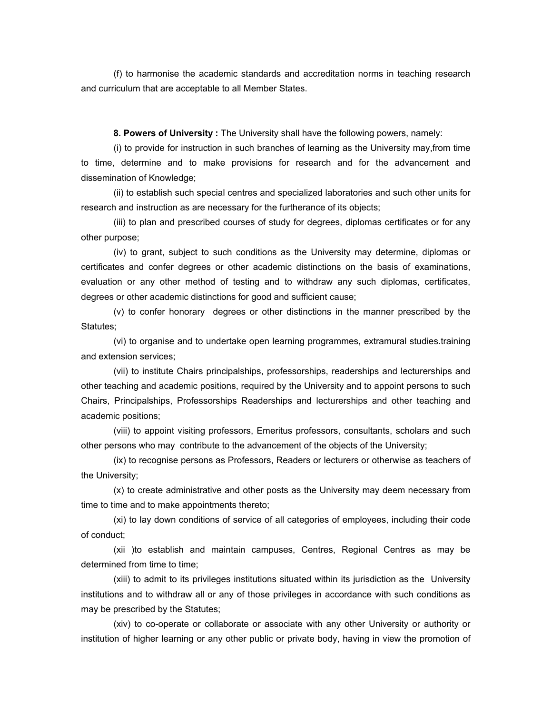(f) to harmonise the academic standards and accreditation norms in teaching research and curriculum that are acceptable to all Member States.

**8. Powers of University :** The University shall have the following powers, namely:

 (i) to provide for instruction in such branches of learning as the University may,from time to time, determine and to make provisions for research and for the advancement and dissemination of Knowledge;

 (ii) to establish such special centres and specialized laboratories and such other units for research and instruction as are necessary for the furtherance of its objects;

 (iii) to plan and prescribed courses of study for degrees, diplomas certificates or for any other purpose;

 (iv) to grant, subject to such conditions as the University may determine, diplomas or certificates and confer degrees or other academic distinctions on the basis of examinations, evaluation or any other method of testing and to withdraw any such diplomas, certificates, degrees or other academic distinctions for good and sufficient cause;

 (v) to confer honorary degrees or other distinctions in the manner prescribed by the Statutes:

 (vi) to organise and to undertake open learning programmes, extramural studies.training and extension services;

 (vii) to institute Chairs principalships, professorships, readerships and lecturerships and other teaching and academic positions, required by the University and to appoint persons to such Chairs, Principalships, Professorships Readerships and lecturerships and other teaching and academic positions;

 (viii) to appoint visiting professors, Emeritus professors, consultants, scholars and such other persons who may contribute to the advancement of the objects of the University;

 (ix) to recognise persons as Professors, Readers or lecturers or otherwise as teachers of the University;

 (x) to create administrative and other posts as the University may deem necessary from time to time and to make appointments thereto;

 (xi) to lay down conditions of service of all categories of employees, including their code of conduct;

 (xii )to establish and maintain campuses, Centres, Regional Centres as may be determined from time to time;

 (xiii) to admit to its privileges institutions situated within its jurisdiction as the University institutions and to withdraw all or any of those privileges in accordance with such conditions as may be prescribed by the Statutes;

 (xiv) to co-operate or collaborate or associate with any other University or authority or institution of higher learning or any other public or private body, having in view the promotion of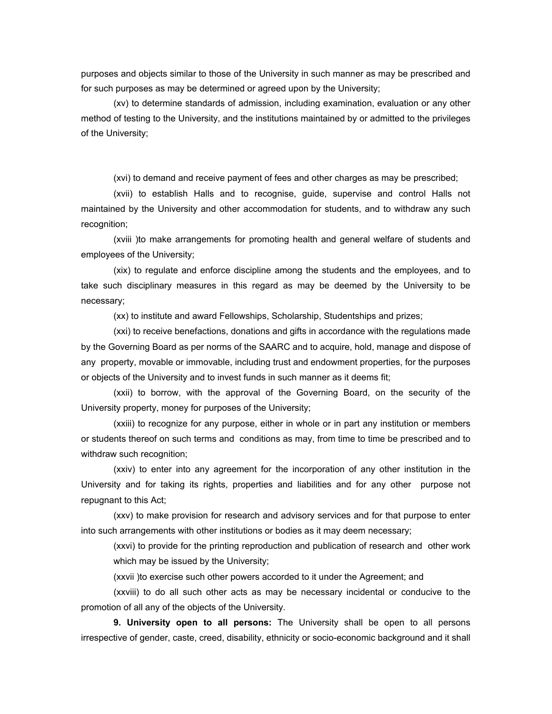purposes and objects similar to those of the University in such manner as may be prescribed and for such purposes as may be determined or agreed upon by the University;

 (xv) to determine standards of admission, including examination, evaluation or any other method of testing to the University, and the institutions maintained by or admitted to the privileges of the University;

(xvi) to demand and receive payment of fees and other charges as may be prescribed;

 (xvii) to establish Halls and to recognise, guide, supervise and control Halls not maintained by the University and other accommodation for students, and to withdraw any such recognition;

 (xviii )to make arrangements for promoting health and general welfare of students and employees of the University;

 (xix) to regulate and enforce discipline among the students and the employees, and to take such disciplinary measures in this regard as may be deemed by the University to be necessary;

(xx) to institute and award Fellowships, Scholarship, Studentships and prizes;

 (xxi) to receive benefactions, donations and gifts in accordance with the regulations made by the Governing Board as per norms of the SAARC and to acquire, hold, manage and dispose of any property, movable or immovable, including trust and endowment properties, for the purposes or objects of the University and to invest funds in such manner as it deems fit;

 (xxii) to borrow, with the approval of the Governing Board, on the security of the University property, money for purposes of the University;

 (xxiii) to recognize for any purpose, either in whole or in part any institution or members or students thereof on such terms and conditions as may, from time to time be prescribed and to withdraw such recognition;

 (xxiv) to enter into any agreement for the incorporation of any other institution in the University and for taking its rights, properties and liabilities and for any other purpose not repugnant to this Act;

(xxv) to make provision for research and advisory services and for that purpose to enter into such arrangements with other institutions or bodies as it may deem necessary;

(xxvi) to provide for the printing reproduction and publication of research and other work which may be issued by the University;

(xxvii )to exercise such other powers accorded to it under the Agreement; and

(xxviii) to do all such other acts as may be necessary incidental or conducive to the promotion of all any of the objects of the University.

**9. University open to all persons:** The University shall be open to all persons irrespective of gender, caste, creed, disability, ethnicity or socio-economic background and it shall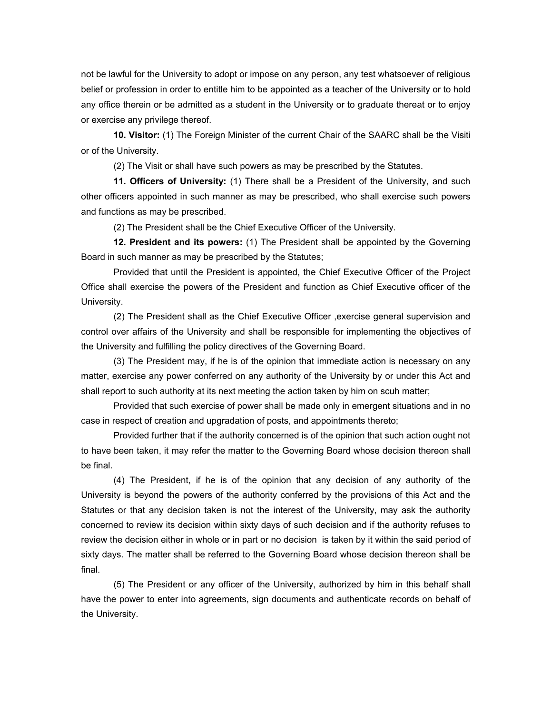not be lawful for the University to adopt or impose on any person, any test whatsoever of religious belief or profession in order to entitle him to be appointed as a teacher of the University or to hold any office therein or be admitted as a student in the University or to graduate thereat or to enjoy or exercise any privilege thereof.

**10. Visitor:** (1) The Foreign Minister of the current Chair of the SAARC shall be the Visiti or of the University.

(2) The Visit or shall have such powers as may be prescribed by the Statutes.

**11. Officers of University:** (1) There shall be a President of the University, and such other officers appointed in such manner as may be prescribed, who shall exercise such powers and functions as may be prescribed.

(2) The President shall be the Chief Executive Officer of the University.

**12. President and its powers:** (1) The President shall be appointed by the Governing Board in such manner as may be prescribed by the Statutes;

Provided that until the President is appointed, the Chief Executive Officer of the Project Office shall exercise the powers of the President and function as Chief Executive officer of the University.

(2) The President shall as the Chief Executive Officer ,exercise general supervision and control over affairs of the University and shall be responsible for implementing the objectives of the University and fulfilling the policy directives of the Governing Board.

(3) The President may, if he is of the opinion that immediate action is necessary on any matter, exercise any power conferred on any authority of the University by or under this Act and shall report to such authority at its next meeting the action taken by him on scuh matter;

Provided that such exercise of power shall be made only in emergent situations and in no case in respect of creation and upgradation of posts, and appointments thereto;

Provided further that if the authority concerned is of the opinion that such action ought not to have been taken, it may refer the matter to the Governing Board whose decision thereon shall be final.

(4) The President, if he is of the opinion that any decision of any authority of the University is beyond the powers of the authority conferred by the provisions of this Act and the Statutes or that any decision taken is not the interest of the University, may ask the authority concerned to review its decision within sixty days of such decision and if the authority refuses to review the decision either in whole or in part or no decision is taken by it within the said period of sixty days. The matter shall be referred to the Governing Board whose decision thereon shall be final.

(5) The President or any officer of the University, authorized by him in this behalf shall have the power to enter into agreements, sign documents and authenticate records on behalf of the University.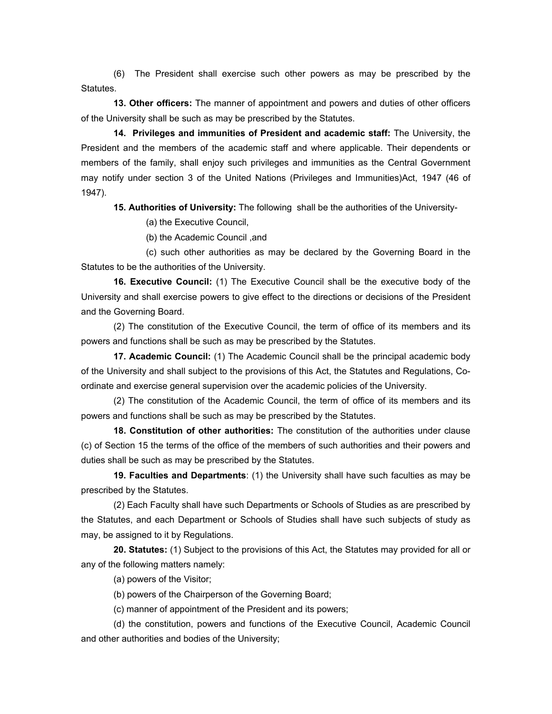(6) The President shall exercise such other powers as may be prescribed by the Statutes.

**13. Other officers:** The manner of appointment and powers and duties of other officers of the University shall be such as may be prescribed by the Statutes.

**14. Privileges and immunities of President and academic staff:** The University, the President and the members of the academic staff and where applicable. Their dependents or members of the family, shall enjoy such privileges and immunities as the Central Government may notify under section 3 of the United Nations (Privileges and Immunities)Act, 1947 (46 of 1947).

**15. Authorities of University:** The following shall be the authorities of the University-

(a) the Executive Council,

(b) the Academic Council ,and

 (c) such other authorities as may be declared by the Governing Board in the Statutes to be the authorities of the University.

**16. Executive Council:** (1) The Executive Council shall be the executive body of the University and shall exercise powers to give effect to the directions or decisions of the President and the Governing Board.

(2) The constitution of the Executive Council, the term of office of its members and its powers and functions shall be such as may be prescribed by the Statutes.

**17. Academic Council:** (1) The Academic Council shall be the principal academic body of the University and shall subject to the provisions of this Act, the Statutes and Regulations, Coordinate and exercise general supervision over the academic policies of the University.

(2) The constitution of the Academic Council, the term of office of its members and its powers and functions shall be such as may be prescribed by the Statutes.

**18. Constitution of other authorities:** The constitution of the authorities under clause (c) of Section 15 the terms of the office of the members of such authorities and their powers and duties shall be such as may be prescribed by the Statutes.

**19. Faculties and Departments**: (1) the University shall have such faculties as may be prescribed by the Statutes.

(2) Each Faculty shall have such Departments or Schools of Studies as are prescribed by the Statutes, and each Department or Schools of Studies shall have such subjects of study as may, be assigned to it by Regulations.

**20. Statutes:** (1) Subject to the provisions of this Act, the Statutes may provided for all or any of the following matters namely:

(a) powers of the Visitor;

(b) powers of the Chairperson of the Governing Board;

(c) manner of appointment of the President and its powers;

(d) the constitution, powers and functions of the Executive Council, Academic Council and other authorities and bodies of the University;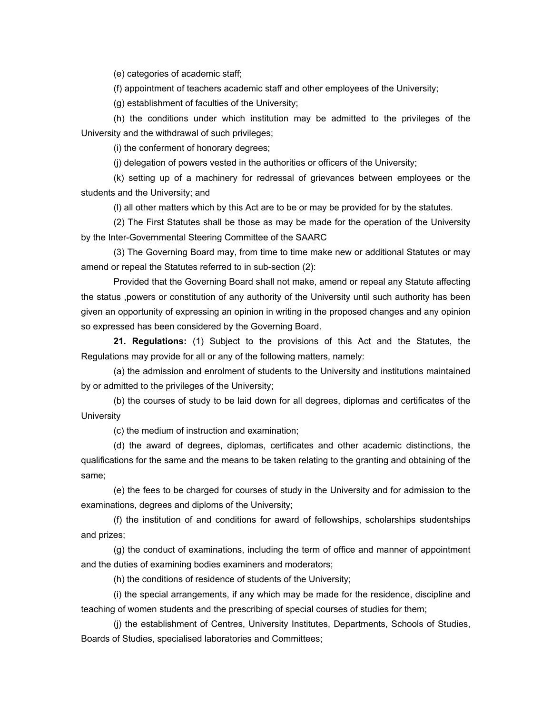(e) categories of academic staff;

(f) appointment of teachers academic staff and other employees of the University;

(g) establishment of faculties of the University;

(h) the conditions under which institution may be admitted to the privileges of the University and the withdrawal of such privileges;

(i) the conferment of honorary degrees;

(j) delegation of powers vested in the authorities or officers of the University;

(k) setting up of a machinery for redressal of grievances between employees or the students and the University; and

(l) all other matters which by this Act are to be or may be provided for by the statutes.

(2) The First Statutes shall be those as may be made for the operation of the University by the Inter-Governmental Steering Committee of the SAARC

(3) The Governing Board may, from time to time make new or additional Statutes or may amend or repeal the Statutes referred to in sub-section (2):

Provided that the Governing Board shall not make, amend or repeal any Statute affecting the status ,powers or constitution of any authority of the University until such authority has been given an opportunity of expressing an opinion in writing in the proposed changes and any opinion so expressed has been considered by the Governing Board.

**21. Regulations:** (1) Subject to the provisions of this Act and the Statutes, the Regulations may provide for all or any of the following matters, namely:

(a) the admission and enrolment of students to the University and institutions maintained by or admitted to the privileges of the University;

(b) the courses of study to be laid down for all degrees, diplomas and certificates of the **University** 

(c) the medium of instruction and examination;

(d) the award of degrees, diplomas, certificates and other academic distinctions, the qualifications for the same and the means to be taken relating to the granting and obtaining of the same;

(e) the fees to be charged for courses of study in the University and for admission to the examinations, degrees and diploms of the University;

(f) the institution of and conditions for award of fellowships, scholarships studentships and prizes;

(g) the conduct of examinations, including the term of office and manner of appointment and the duties of examining bodies examiners and moderators;

(h) the conditions of residence of students of the University;

(i) the special arrangements, if any which may be made for the residence, discipline and teaching of women students and the prescribing of special courses of studies for them;

(j) the establishment of Centres, University Institutes, Departments, Schools of Studies, Boards of Studies, specialised laboratories and Committees;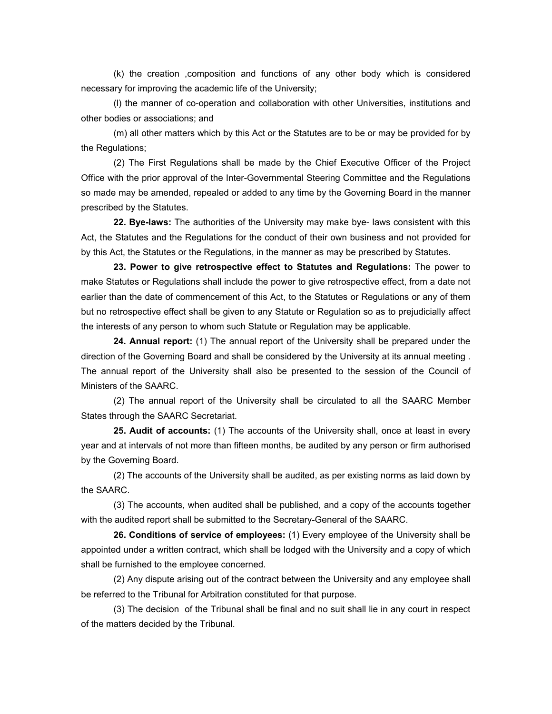(k) the creation ,composition and functions of any other body which is considered necessary for improving the academic life of the University;

(l) the manner of co-operation and collaboration with other Universities, institutions and other bodies or associations; and

(m) all other matters which by this Act or the Statutes are to be or may be provided for by the Regulations;

(2) The First Regulations shall be made by the Chief Executive Officer of the Project Office with the prior approval of the Inter-Governmental Steering Committee and the Regulations so made may be amended, repealed or added to any time by the Governing Board in the manner prescribed by the Statutes.

**22. Bye-laws:** The authorities of the University may make bye- laws consistent with this Act, the Statutes and the Regulations for the conduct of their own business and not provided for by this Act, the Statutes or the Regulations, in the manner as may be prescribed by Statutes.

**23. Power to give retrospective effect to Statutes and Regulations:** The power to make Statutes or Regulations shall include the power to give retrospective effect, from a date not earlier than the date of commencement of this Act, to the Statutes or Regulations or any of them but no retrospective effect shall be given to any Statute or Regulation so as to prejudicially affect the interests of any person to whom such Statute or Regulation may be applicable.

**24. Annual report:** (1) The annual report of the University shall be prepared under the direction of the Governing Board and shall be considered by the University at its annual meeting . The annual report of the University shall also be presented to the session of the Council of Ministers of the SAARC.

(2) The annual report of the University shall be circulated to all the SAARC Member States through the SAARC Secretariat.

**25. Audit of accounts:** (1) The accounts of the University shall, once at least in every year and at intervals of not more than fifteen months, be audited by any person or firm authorised by the Governing Board.

(2) The accounts of the University shall be audited, as per existing norms as laid down by the SAARC.

(3) The accounts, when audited shall be published, and a copy of the accounts together with the audited report shall be submitted to the Secretary-General of the SAARC.

**26. Conditions of service of employees:** (1) Every employee of the University shall be appointed under a written contract, which shall be lodged with the University and a copy of which shall be furnished to the employee concerned.

(2) Any dispute arising out of the contract between the University and any employee shall be referred to the Tribunal for Arbitration constituted for that purpose.

(3) The decision of the Tribunal shall be final and no suit shall lie in any court in respect of the matters decided by the Tribunal.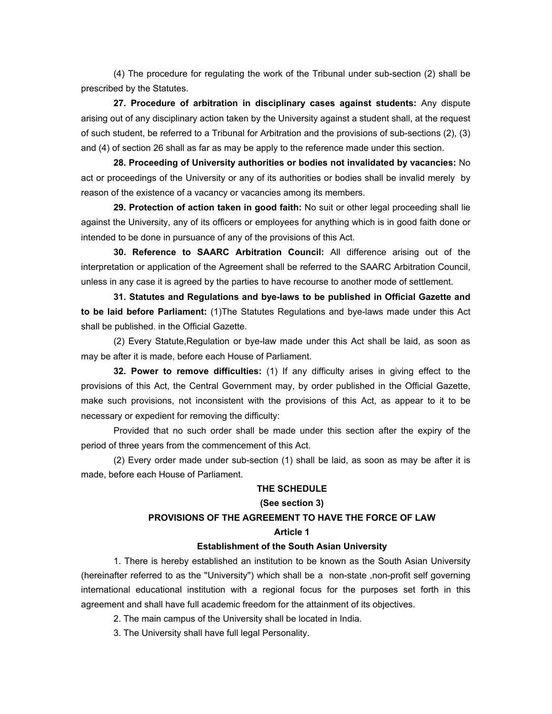(4) The procedure for regulating the work of the Tribunal under sub-section (2) shall be prescribed by the Statutes.

**27. Procedure of arbitration in disciplinary cases against students:** Any dispute arising out of any disciplinary action taken by the University against a student shall, at the request of such student, be referred to a Tribunal for Arbitration and the provisions of sub-sections (2), (3) and (4) of section 26 shall as far as may be apply to the reference made under this section.

**28. Proceeding of University authorities or bodies not invalidated by vacancies:** No act or proceedings of the University or any of its authorities or bodies shall be invalid merely by reason of the existence of a vacancy or vacancies among its members.

**29. Protection of action taken in good faith:** No suit or other legal proceeding shall lie against the University, any of its officers or employees for anything which is in good faith done or intended to be done in pursuance of any of the provisions of this Act.

**30. Reference to SAARC Arbitration Council:** All difference arising out of the interpretation or application of the Agreement shall be referred to the SAARC Arbitration Council, unless in any case it is agreed by the parties to have recourse to another mode of settlement.

**31. Statutes and Regulations and bye-laws to be published in Official Gazette and to be laid before Parliament:** (1)The Statutes Regulations and bye-laws made under this Act shall be published. in the Official Gazette.

(2) Every Statute,Regulation or bye-law made under this Act shall be laid, as soon as may be after it is made, before each House of Parliament.

**32. Power to remove difficulties:** (1) If any difficulty arises in giving effect to the provisions of this Act, the Central Government may, by order published in the Official Gazette, make such provisions, not inconsistent with the provisions of this Act, as appear to it to be necessary or expedient for removing the difficulty:

Provided that no such order shall be made under this section after the expiry of the period of three years from the commencement of this Act.

(2) Every order made under sub-section (1) shall be laid, as soon as may be after it is made, before each House of Parliament.

#### **THE SCHEDULE**

#### **(See section 3)**

## **PROVISIONS OF THE AGREEMENT TO HAVE THE FORCE OF LAW**

#### **Article 1**

#### **Establishment of the South Asian University**

1. There is hereby established an institution to be known as the South Asian University (hereinafter referred to as the ''University'') which shall be a non-state ,non-profit self governing international educational institution with a regional focus for the purposes set forth in this agreement and shall have full academic freedom for the attainment of its objectives.

- 2. The main campus of the University shall be located in India.
- 3. The University shall have full legal Personality.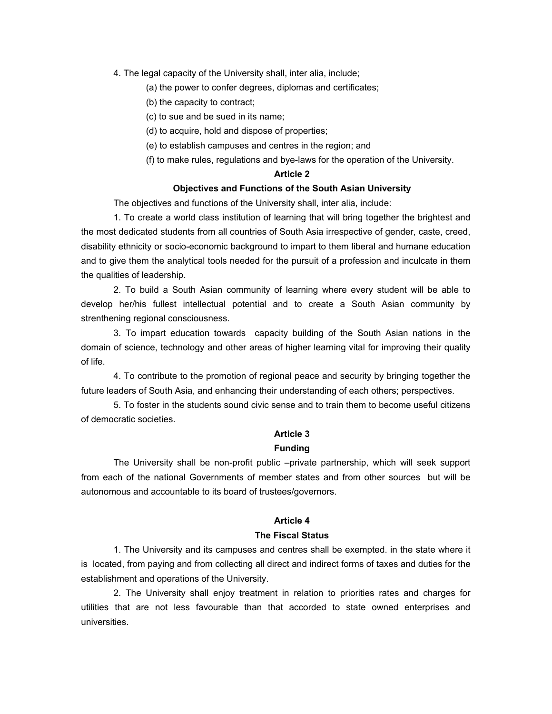- 4. The legal capacity of the University shall, inter alia, include;
	- (a) the power to confer degrees, diplomas and certificates;
	- (b) the capacity to contract;
	- (c) to sue and be sued in its name;
	- (d) to acquire, hold and dispose of properties;
	- (e) to establish campuses and centres in the region; and
	- (f) to make rules, regulations and bye-laws for the operation of the University.

### **Article 2**

## **Objectives and Functions of the South Asian University**

The objectives and functions of the University shall, inter alia, include:

1. To create a world class institution of learning that will bring together the brightest and the most dedicated students from all countries of South Asia irrespective of gender, caste, creed, disability ethnicity or socio-economic background to impart to them liberal and humane education and to give them the analytical tools needed for the pursuit of a profession and inculcate in them the qualities of leadership.

2. To build a South Asian community of learning where every student will be able to develop her/his fullest intellectual potential and to create a South Asian community by strenthening regional consciousness.

3. To impart education towards capacity building of the South Asian nations in the domain of science, technology and other areas of higher learning vital for improving their quality of life.

4. To contribute to the promotion of regional peace and security by bringing together the future leaders of South Asia, and enhancing their understanding of each others; perspectives.

5. To foster in the students sound civic sense and to train them to become useful citizens of democratic societies.

## **Article 3**

## **Funding**

The University shall be non-profit public –private partnership, which will seek support from each of the national Governments of member states and from other sources but will be autonomous and accountable to its board of trustees/governors.

## **Article 4**

## **The Fiscal Status**

1. The University and its campuses and centres shall be exempted. in the state where it is located, from paying and from collecting all direct and indirect forms of taxes and duties for the establishment and operations of the University.

2. The University shall enjoy treatment in relation to priorities rates and charges for utilities that are not less favourable than that accorded to state owned enterprises and universities.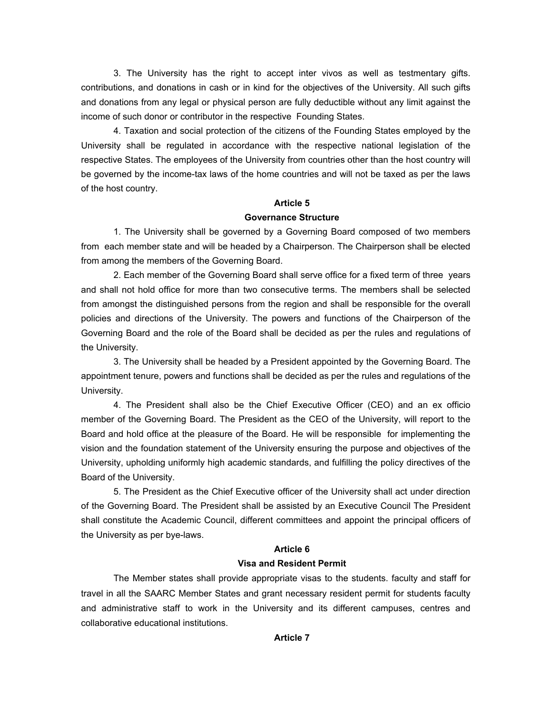3. The University has the right to accept inter vivos as well as testmentary gifts. contributions, and donations in cash or in kind for the objectives of the University. All such gifts and donations from any legal or physical person are fully deductible without any limit against the income of such donor or contributor in the respective Founding States.

4. Taxation and social protection of the citizens of the Founding States employed by the University shall be regulated in accordance with the respective national legislation of the respective States. The employees of the University from countries other than the host country will be governed by the income-tax laws of the home countries and will not be taxed as per the laws of the host country.

## **Article 5**

#### **Governance Structure**

1. The University shall be governed by a Governing Board composed of two members from each member state and will be headed by a Chairperson. The Chairperson shall be elected from among the members of the Governing Board.

2. Each member of the Governing Board shall serve office for a fixed term of three years and shall not hold office for more than two consecutive terms. The members shall be selected from amongst the distinguished persons from the region and shall be responsible for the overall policies and directions of the University. The powers and functions of the Chairperson of the Governing Board and the role of the Board shall be decided as per the rules and regulations of the University.

3. The University shall be headed by a President appointed by the Governing Board. The appointment tenure, powers and functions shall be decided as per the rules and regulations of the University.

4. The President shall also be the Chief Executive Officer (CEO) and an ex officio member of the Governing Board. The President as the CEO of the University, will report to the Board and hold office at the pleasure of the Board. He will be responsible for implementing the vision and the foundation statement of the University ensuring the purpose and objectives of the University, upholding uniformly high academic standards, and fulfilling the policy directives of the Board of the University.

5. The President as the Chief Executive officer of the University shall act under direction of the Governing Board. The President shall be assisted by an Executive Council The President shall constitute the Academic Council, different committees and appoint the principal officers of the University as per bye-laws.

### **Article 6**

### **Visa and Resident Permit**

The Member states shall provide appropriate visas to the students. faculty and staff for travel in all the SAARC Member States and grant necessary resident permit for students faculty and administrative staff to work in the University and its different campuses, centres and collaborative educational institutions.